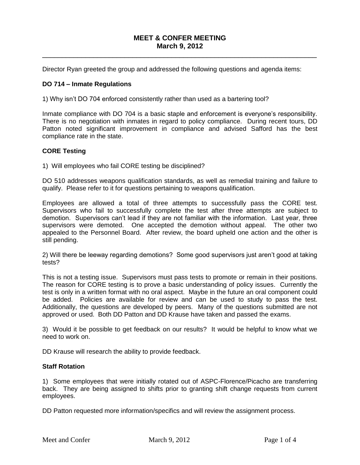# **MEET & CONFER MEETING March 9, 2012**

 $\_$  ,  $\_$  ,  $\_$  ,  $\_$  ,  $\_$  ,  $\_$  ,  $\_$  ,  $\_$  ,  $\_$  ,  $\_$  ,  $\_$  ,  $\_$  ,  $\_$  ,  $\_$  ,  $\_$  ,  $\_$  ,  $\_$  ,  $\_$  ,  $\_$  ,  $\_$  ,  $\_$  ,  $\_$  ,  $\_$  ,  $\_$  ,  $\_$  ,  $\_$  ,  $\_$  ,  $\_$  ,  $\_$  ,  $\_$  ,  $\_$  ,  $\_$  ,  $\_$  ,  $\_$  ,  $\_$  ,  $\_$  ,  $\_$  ,

Director Ryan greeted the group and addressed the following questions and agenda items:

## **DO 714 – Inmate Regulations**

1) Why isn't DO 704 enforced consistently rather than used as a bartering tool?

Inmate compliance with DO 704 is a basic staple and enforcement is everyone's responsibility. There is no negotiation with inmates in regard to policy compliance. During recent tours, DD Patton noted significant improvement in compliance and advised Safford has the best compliance rate in the state.

## **CORE Testing**

1) Will employees who fail CORE testing be disciplined?

DO 510 addresses weapons qualification standards, as well as remedial training and failure to qualify. Please refer to it for questions pertaining to weapons qualification.

Employees are allowed a total of three attempts to successfully pass the CORE test. Supervisors who fail to successfully complete the test after three attempts are subject to demotion. Supervisors can't lead if they are not familiar with the information. Last year, three supervisors were demoted. One accepted the demotion without appeal. The other two appealed to the Personnel Board. After review, the board upheld one action and the other is still pending.

2) Will there be leeway regarding demotions? Some good supervisors just aren't good at taking tests?

This is not a testing issue. Supervisors must pass tests to promote or remain in their positions. The reason for CORE testing is to prove a basic understanding of policy issues. Currently the test is only in a written format with no oral aspect. Maybe in the future an oral component could be added. Policies are available for review and can be used to study to pass the test. Additionally, the questions are developed by peers. Many of the questions submitted are not approved or used. Both DD Patton and DD Krause have taken and passed the exams.

3) Would it be possible to get feedback on our results? It would be helpful to know what we need to work on.

DD Krause will research the ability to provide feedback.

## **Staff Rotation**

1) Some employees that were initially rotated out of ASPC-Florence/Picacho are transferring back. They are being assigned to shifts prior to granting shift change requests from current employees.

DD Patton requested more information/specifics and will review the assignment process.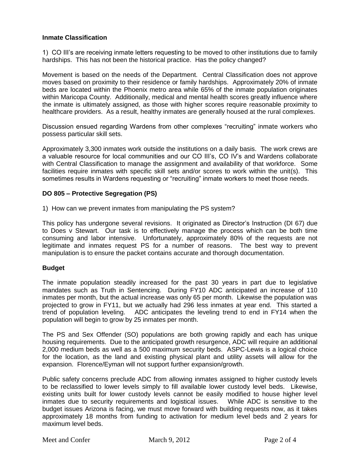## **Inmate Classification**

1) CO III's are receiving inmate letters requesting to be moved to other institutions due to family hardships. This has not been the historical practice. Has the policy changed?

Movement is based on the needs of the Department. Central Classification does not approve moves based on proximity to their residence or family hardships. Approximately 20% of inmate beds are located within the Phoenix metro area while 65% of the inmate population originates within Maricopa County. Additionally, medical and mental health scores greatly influence where the inmate is ultimately assigned, as those with higher scores require reasonable proximity to healthcare providers. As a result, healthy inmates are generally housed at the rural complexes.

Discussion ensued regarding Wardens from other complexes "recruiting" inmate workers who possess particular skill sets.

Approximately 3,300 inmates work outside the institutions on a daily basis. The work crews are a valuable resource for local communities and our CO III's, CO IV's and Wardens collaborate with Central Classification to manage the assignment and availability of that workforce. Some facilities require inmates with specific skill sets and/or scores to work within the unit(s). This sometimes results in Wardens requesting or "recruiting" inmate workers to meet those needs.

## **DO 805 – Protective Segregation (PS)**

1) How can we prevent inmates from manipulating the PS system?

This policy has undergone several revisions. It originated as Director's Instruction (DI 67) due to Does v Stewart. Our task is to effectively manage the process which can be both time consuming and labor intensive. Unfortunately, approximately 80% of the requests are not legitimate and inmates request PS for a number of reasons. The best way to prevent manipulation is to ensure the packet contains accurate and thorough documentation.

## **Budget**

The inmate population steadily increased for the past 30 years in part due to legislative mandates such as Truth in Sentencing. During FY10 ADC anticipated an increase of 110 inmates per month, but the actual increase was only 65 per month. Likewise the population was projected to grow in FY11, but we actually had 296 less inmates at year end. This started a trend of population leveling. ADC anticipates the leveling trend to end in FY14 when the population will begin to grow by 25 inmates per month.

The PS and Sex Offender (SO) populations are both growing rapidly and each has unique housing requirements. Due to the anticipated growth resurgence, ADC will require an additional 2,000 medium beds as well as a 500 maximum security beds. ASPC-Lewis is a logical choice for the location, as the land and existing physical plant and utility assets will allow for the expansion. Florence/Eyman will not support further expansion/growth.

Public safety concerns preclude ADC from allowing inmates assigned to higher custody levels to be reclassified to lower levels simply to fill available lower custody level beds. Likewise, existing units built for lower custody levels cannot be easily modified to house higher level inmates due to security requirements and logistical issues. While ADC is sensitive to the budget issues Arizona is facing, we must move forward with building requests now, as it takes approximately 18 months from funding to activation for medium level beds and 2 years for maximum level beds.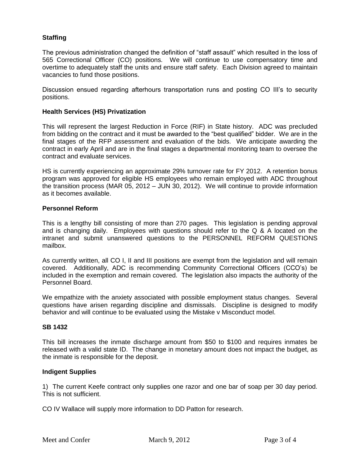# **Staffing**

The previous administration changed the definition of "staff assault" which resulted in the loss of 565 Correctional Officer (CO) positions. We will continue to use compensatory time and overtime to adequately staff the units and ensure staff safety. Each Division agreed to maintain vacancies to fund those positions.

Discussion ensued regarding afterhours transportation runs and posting CO III's to security positions.

## **Health Services (HS) Privatization**

This will represent the largest Reduction in Force (RIF) in State history. ADC was precluded from bidding on the contract and it must be awarded to the "best qualified" bidder. We are in the final stages of the RFP assessment and evaluation of the bids. We anticipate awarding the contract in early April and are in the final stages a departmental monitoring team to oversee the contract and evaluate services.

HS is currently experiencing an approximate 29% turnover rate for FY 2012. A retention bonus program was approved for eligible HS employees who remain employed with ADC throughout the transition process (MAR 05, 2012 – JUN 30, 2012). We will continue to provide information as it becomes available.

## **Personnel Reform**

This is a lengthy bill consisting of more than 270 pages. This legislation is pending approval and is changing daily. Employees with questions should refer to the Q & A located on the intranet and submit unanswered questions to the PERSONNEL REFORM QUESTIONS mailbox.

As currently written, all CO I, II and III positions are exempt from the legislation and will remain covered. Additionally, ADC is recommending Community Correctional Officers (CCO's) be included in the exemption and remain covered. The legislation also impacts the authority of the Personnel Board.

We empathize with the anxiety associated with possible employment status changes. Several questions have arisen regarding discipline and dismissals. Discipline is designed to modify behavior and will continue to be evaluated using the Mistake v Misconduct model.

## **SB 1432**

This bill increases the inmate discharge amount from \$50 to \$100 and requires inmates be released with a valid state ID. The change in monetary amount does not impact the budget, as the inmate is responsible for the deposit.

## **Indigent Supplies**

1) The current Keefe contract only supplies one razor and one bar of soap per 30 day period. This is not sufficient.

CO IV Wallace will supply more information to DD Patton for research.